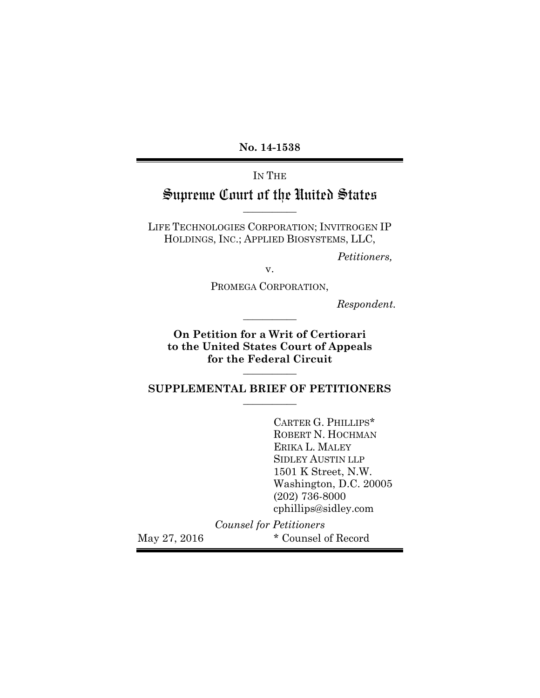**No. 14-1538**

# IN THE Supreme Court of the United States

LIFE TECHNOLOGIES CORPORATION; INVITROGEN IP HOLDINGS, INC.; APPLIED BIOSYSTEMS, LLC,

**\_\_\_\_\_\_\_\_\_\_\_**

*Petitioners,*

v.

PROMEGA CORPORATION,

**\_\_\_\_\_\_\_\_\_\_\_**

*Respondent.*

**On Petition for a Writ of Certiorari to the United States Court of Appeals for the Federal Circuit**

#### **SUPPLEMENTAL BRIEF OF PETITIONERS \_\_\_\_\_\_\_\_\_\_\_**

**\_\_\_\_\_\_\_\_\_\_\_**

CARTER G. PHILLIPS\* ROBERT N. HOCHMAN ERIKA L. MALEY SIDLEY AUSTIN LLP 1501 K Street, N.W. Washington, D.C. 20005 (202) 736-8000 cphillips@sidley.com

*Counsel for Petitioners* May 27, 2016  $*$  Counsel of Record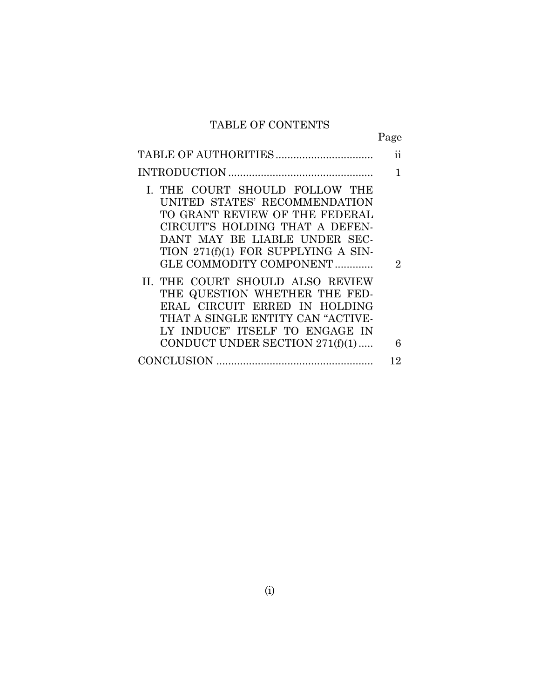## TABLE OF CONTENTS

|                                                                                                                                                                                                                                                                                                                                                                                                                                                         | Page                |
|---------------------------------------------------------------------------------------------------------------------------------------------------------------------------------------------------------------------------------------------------------------------------------------------------------------------------------------------------------------------------------------------------------------------------------------------------------|---------------------|
|                                                                                                                                                                                                                                                                                                                                                                                                                                                         | 11                  |
|                                                                                                                                                                                                                                                                                                                                                                                                                                                         | $\mathbf{1}$        |
| I. THE COURT SHOULD FOLLOW THE<br>UNITED STATES' RECOMMENDATION<br>TO GRANT REVIEW OF THE FEDERAL<br>CIRCUIT'S HOLDING THAT A DEFEN-<br>DANT MAY BE LIABLE UNDER SEC-<br>TION 271(f)(1) FOR SUPPLYING A SIN-<br>GLE COMMODITY COMPONENT<br>II. THE COURT SHOULD ALSO REVIEW<br>THE QUESTION WHETHER THE FED-<br>ERAL CIRCUIT ERRED IN HOLDING<br>THAT A SINGLE ENTITY CAN "ACTIVE-<br>LY INDUCE" ITSELF TO ENGAGE IN<br>CONDUCT UNDER SECTION 271(f)(1) | $\overline{2}$<br>6 |
|                                                                                                                                                                                                                                                                                                                                                                                                                                                         | 12                  |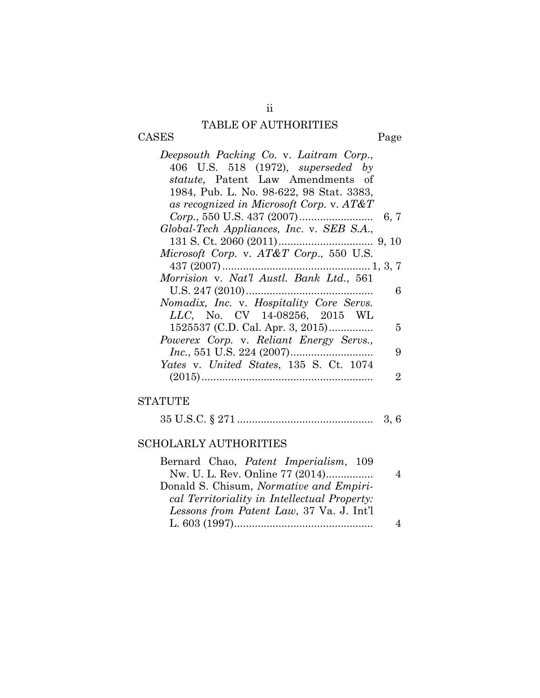## TABLE OF AUTHORITIES

CASES Page

| Deepsouth Packing Co. v. Laitram Corp.,     |
|---------------------------------------------|
| 406 U.S. 518 (1972), <i>superseded</i> by   |
| <i>statute</i> , Patent Law Amendments of   |
| 1984, Pub. L. No. 98-622, 98 Stat. 3383,    |
| as recognized in Microsoft Corp. v. $AT\&T$ |
|                                             |
| Global-Tech Appliances, Inc. v. SEB S.A.,   |
|                                             |
| Microsoft Corp. v. AT&T Corp., 550 U.S.     |
|                                             |
| Morrision v. Nat'l Austl. Bank Ltd., 561    |
| 6                                           |
| Nomadix, Inc. v. Hospitality Core Servs.    |
| LLC, No. CV 14-08256, 2015 WL               |
| $1525537$ (C.D. Cal. Apr. 3, 2015)<br>5     |
| Powerex Corp. v. Reliant Energy Servs.,     |
| 9                                           |
| Yates v. United States, 135 S. Ct. 1074     |
| 2                                           |
|                                             |

### STATUTE

| $35 \text{ U.S.C.} \S 271 \dots 251 \dots 251 \dots 251 \dots 251 \dots 251 \dots 251 \dots 251 \dots 251 \dots 251 \dots 251 \dots 251 \dots 251 \dots 251 \dots 251 \dots 251 \dots 251 \dots 251 \dots 251 \dots 251 \dots 251 \dots 251 \dots 251 \dots 251 \dots 251 \dots 251 \dots 251 \dots 251 \dots 251 \dots 251 \dots 251 \dots 251 \dots 251 \dots 251 \dots 251$ |  |  |
|--------------------------------------------------------------------------------------------------------------------------------------------------------------------------------------------------------------------------------------------------------------------------------------------------------------------------------------------------------------------------------|--|--|
|--------------------------------------------------------------------------------------------------------------------------------------------------------------------------------------------------------------------------------------------------------------------------------------------------------------------------------------------------------------------------------|--|--|

## SCHOLARLY AUTHORITIES

| Bernard Chao, <i>Patent Imperialism</i> , 109 |  |
|-----------------------------------------------|--|
| Nw. U. L. Rev. Online 77 (2014)               |  |
| Donald S. Chisum, Normative and Empiri-       |  |
| cal Territoriality in Intellectual Property:  |  |
| Lessons from Patent Law, 37 Va. J. Int'l      |  |
|                                               |  |
|                                               |  |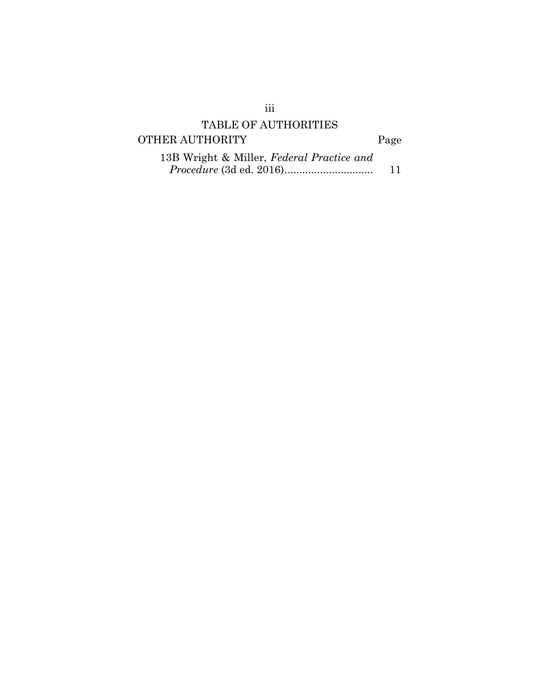# TABLE OF AUTHORITIES

# OTHER AUTHORITY Page

| 13B Wright & Miller, Federal Practice and |    |
|-------------------------------------------|----|
|                                           | 11 |

iii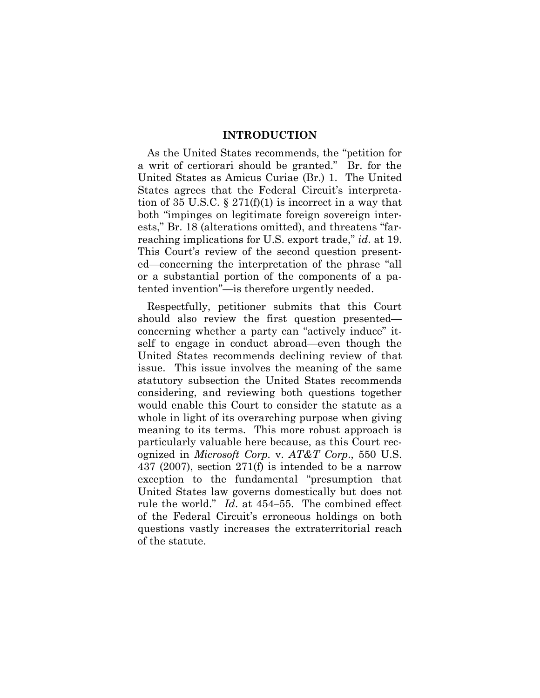#### **INTRODUCTION**

As the United States recommends, the "petition for a writ of certiorari should be granted." Br. for the United States as Amicus Curiae (Br.) 1. The United States agrees that the Federal Circuit's interpretation of 35 U.S.C.  $\S 271(f)(1)$  is incorrect in a way that both "impinges on legitimate foreign sovereign interests," Br. 18 (alterations omitted), and threatens "farreaching implications for U.S. export trade," *id*. at 19. This Court's review of the second question presented—concerning the interpretation of the phrase "all or a substantial portion of the components of a patented invention"—is therefore urgently needed.

Respectfully, petitioner submits that this Court should also review the first question presented concerning whether a party can "actively induce" itself to engage in conduct abroad—even though the United States recommends declining review of that issue. This issue involves the meaning of the same statutory subsection the United States recommends considering, and reviewing both questions together would enable this Court to consider the statute as a whole in light of its overarching purpose when giving meaning to its terms. This more robust approach is particularly valuable here because, as this Court recognized in *Microsoft Corp.* v. *AT&T Corp*., 550 U.S. 437 (2007), section 271(f) is intended to be a narrow exception to the fundamental "presumption that United States law governs domestically but does not rule the world." *Id.* at 454–55. The combined effect of the Federal Circuit's erroneous holdings on both questions vastly increases the extraterritorial reach of the statute.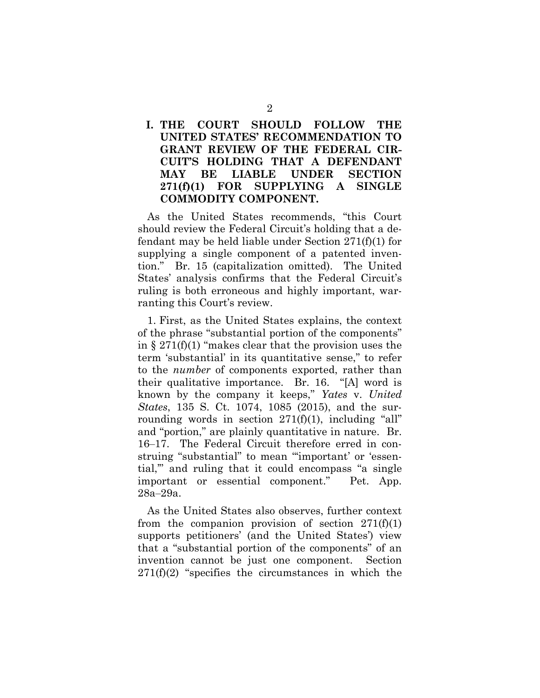### **I. THE COURT SHOULD FOLLOW THE UNITED STATES' RECOMMENDATION TO GRANT REVIEW OF THE FEDERAL CIR-CUIT'S HOLDING THAT A DEFENDANT MAY BE LIABLE UNDER SECTION 271(f)(1) FOR SUPPLYING A SINGLE COMMODITY COMPONENT.**

As the United States recommends, "this Court should review the Federal Circuit's holding that a defendant may be held liable under Section 271(f)(1) for supplying a single component of a patented invention." Br. 15 (capitalization omitted). The United States' analysis confirms that the Federal Circuit's ruling is both erroneous and highly important, warranting this Court's review.

1. First, as the United States explains, the context of the phrase "substantial portion of the components" in  $\S 271(f)(1)$  "makes clear that the provision uses the term 'substantial' in its quantitative sense," to refer to the *number* of components exported, rather than their qualitative importance. Br. 16. "[A] word is known by the company it keeps," *Yates* v. *United States*, 135 S. Ct. 1074, 1085 (2015), and the surrounding words in section  $271(f)(1)$ , including "all" and "portion," are plainly quantitative in nature. Br. 16–17. The Federal Circuit therefore erred in construing "substantial" to mean "'important' or 'essential,'" and ruling that it could encompass "a single important or essential component." Pet. App. 28a‒29a.

As the United States also observes, further context from the companion provision of section  $271(f)(1)$ supports petitioners' (and the United States') view that a "substantial portion of the components" of an invention cannot be just one component. Section  $271(f)(2)$  "specifies the circumstances in which the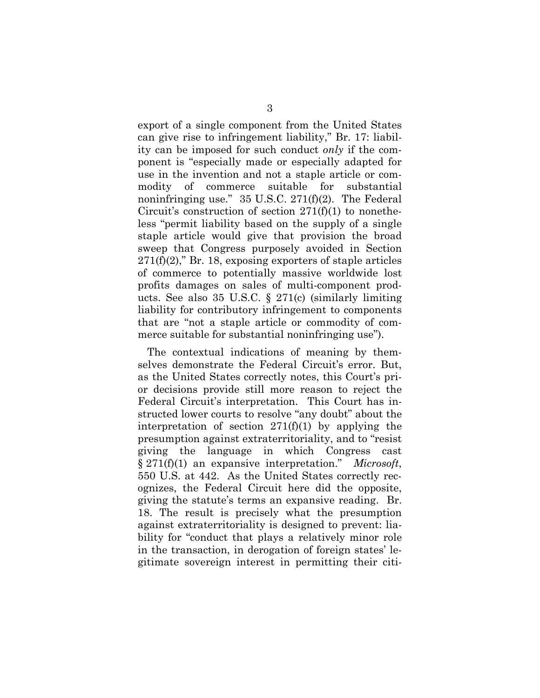export of a single component from the United States can give rise to infringement liability," Br. 17: liability can be imposed for such conduct *only* if the component is "especially made or especially adapted for use in the invention and not a staple article or commodity of commerce suitable for substantial noninfringing use." 35 U.S.C. 271(f)(2). The Federal Circuit's construction of section  $271(f)(1)$  to nonetheless "permit liability based on the supply of a single staple article would give that provision the broad sweep that Congress purposely avoided in Section  $271(f)(2)$ ," Br. 18, exposing exporters of staple articles of commerce to potentially massive worldwide lost profits damages on sales of multi-component products. See also 35 U.S.C. § 271(c) (similarly limiting liability for contributory infringement to components that are "not a staple article or commodity of commerce suitable for substantial noninfringing use").

The contextual indications of meaning by themselves demonstrate the Federal Circuit's error. But, as the United States correctly notes, this Court's prior decisions provide still more reason to reject the Federal Circuit's interpretation. This Court has instructed lower courts to resolve "any doubt" about the interpretation of section  $271(f)(1)$  by applying the presumption against extraterritoriality, and to "resist giving the language in which Congress cast § 271(f)(1) an expansive interpretation." *Microsoft*, 550 U.S. at 442. As the United States correctly recognizes, the Federal Circuit here did the opposite, giving the statute's terms an expansive reading. Br. 18. The result is precisely what the presumption against extraterritoriality is designed to prevent: liability for "conduct that plays a relatively minor role in the transaction, in derogation of foreign states' legitimate sovereign interest in permitting their citi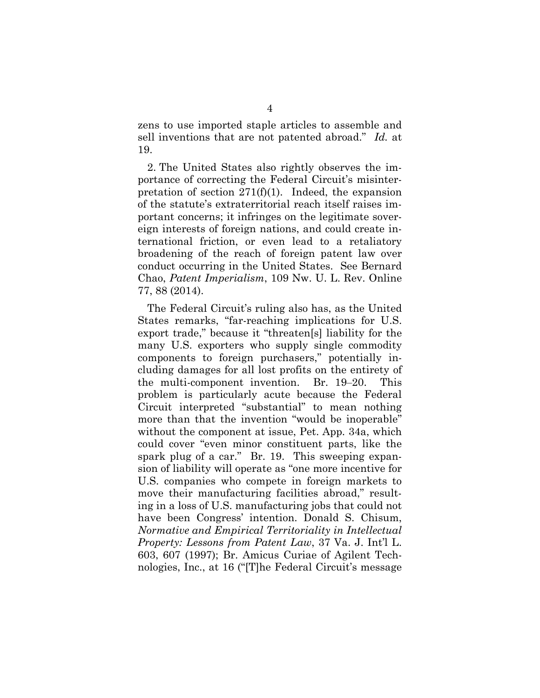zens to use imported staple articles to assemble and sell inventions that are not patented abroad." *Id.* at 19.

2. The United States also rightly observes the importance of correcting the Federal Circuit's misinterpretation of section  $271(f)(1)$ . Indeed, the expansion of the statute's extraterritorial reach itself raises important concerns; it infringes on the legitimate sovereign interests of foreign nations, and could create international friction, or even lead to a retaliatory broadening of the reach of foreign patent law over conduct occurring in the United States. See Bernard Chao, *Patent Imperialism*, 109 Nw. U. L. Rev. Online 77, 88 (2014).

The Federal Circuit's ruling also has, as the United States remarks, "far-reaching implications for U.S. export trade," because it "threaten[s] liability for the many U.S. exporters who supply single commodity components to foreign purchasers," potentially including damages for all lost profits on the entirety of the multi-component invention. Br. 19–20. This problem is particularly acute because the Federal Circuit interpreted "substantial" to mean nothing more than that the invention "would be inoperable" without the component at issue, Pet. App. 34a, which could cover "even minor constituent parts, like the spark plug of a car." Br. 19. This sweeping expansion of liability will operate as "one more incentive for U.S. companies who compete in foreign markets to move their manufacturing facilities abroad," resulting in a loss of U.S. manufacturing jobs that could not have been Congress' intention. Donald S. Chisum, *Normative and Empirical Territoriality in Intellectual Property: Lessons from Patent Law*, 37 Va. J. Int'l L. 603, 607 (1997); Br. Amicus Curiae of Agilent Technologies, Inc., at 16 ("[T]he Federal Circuit's message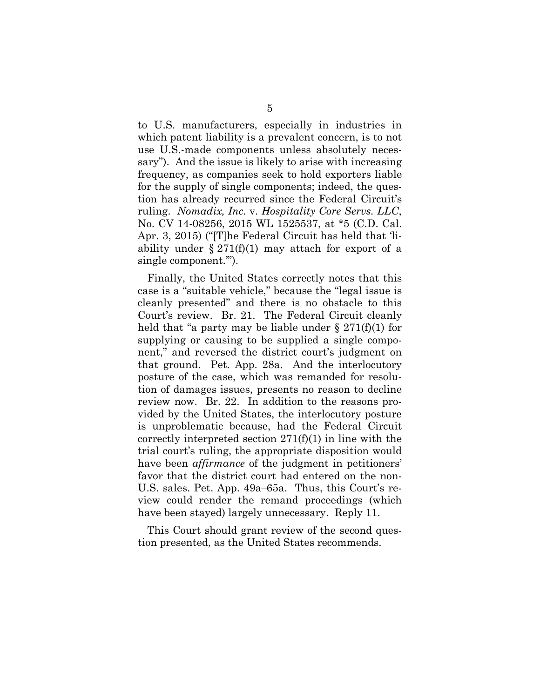to U.S. manufacturers, especially in industries in which patent liability is a prevalent concern, is to not use U.S.-made components unless absolutely necessary"). And the issue is likely to arise with increasing frequency, as companies seek to hold exporters liable for the supply of single components; indeed, the question has already recurred since the Federal Circuit's ruling. *Nomadix, Inc.* v. *Hospitality Core Servs. LLC*, No. CV 14-08256, 2015 WL 1525537, at \*5 (C.D. Cal. Apr. 3, 2015) ("[T]he Federal Circuit has held that 'liability under  $\S 271(f)(1)$  may attach for export of a single component.'").

Finally, the United States correctly notes that this case is a "suitable vehicle," because the "legal issue is cleanly presented" and there is no obstacle to this Court's review. Br. 21. The Federal Circuit cleanly held that "a party may be liable under  $\S 271(f)(1)$  for supplying or causing to be supplied a single component," and reversed the district court's judgment on that ground. Pet. App. 28a. And the interlocutory posture of the case, which was remanded for resolution of damages issues, presents no reason to decline review now. Br. 22. In addition to the reasons provided by the United States, the interlocutory posture is unproblematic because, had the Federal Circuit correctly interpreted section 271(f)(1) in line with the trial court's ruling, the appropriate disposition would have been *affirmance* of the judgment in petitioners' favor that the district court had entered on the non-U.S. sales. Pet. App. 49a–65a. Thus, this Court's review could render the remand proceedings (which have been stayed) largely unnecessary. Reply 11.

This Court should grant review of the second question presented, as the United States recommends.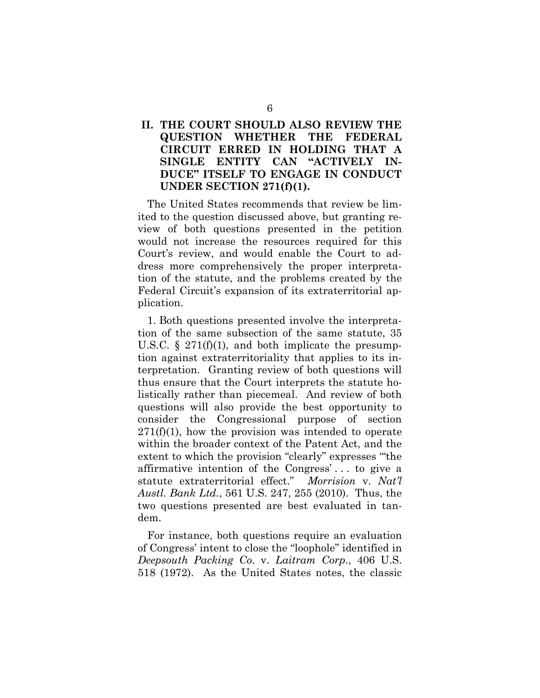### **II. THE COURT SHOULD ALSO REVIEW THE QUESTION WHETHER THE FEDERAL CIRCUIT ERRED IN HOLDING THAT A SINGLE ENTITY CAN "ACTIVELY IN-DUCE" ITSELF TO ENGAGE IN CONDUCT UNDER SECTION 271(f)(1).**

The United States recommends that review be limited to the question discussed above, but granting review of both questions presented in the petition would not increase the resources required for this Court's review, and would enable the Court to address more comprehensively the proper interpretation of the statute, and the problems created by the Federal Circuit's expansion of its extraterritorial application.

1. Both questions presented involve the interpretation of the same subsection of the same statute, 35 U.S.C.  $\S$  271(f)(1), and both implicate the presumption against extraterritoriality that applies to its interpretation. Granting review of both questions will thus ensure that the Court interprets the statute holistically rather than piecemeal. And review of both questions will also provide the best opportunity to consider the Congressional purpose of section  $271(f)(1)$ , how the provision was intended to operate within the broader context of the Patent Act, and the extent to which the provision "clearly" expresses '"the affirmative intention of the Congress' . . . to give a statute extraterritorial effect." *Morrision* v. *Nat'l Austl. Bank Ltd.*, 561 U.S. 247, 255 (2010). Thus, the two questions presented are best evaluated in tandem.

For instance, both questions require an evaluation of Congress' intent to close the "loophole" identified in *Deepsouth Packing Co*. v. *Laitram Corp.*, 406 U.S. 518 (1972). As the United States notes, the classic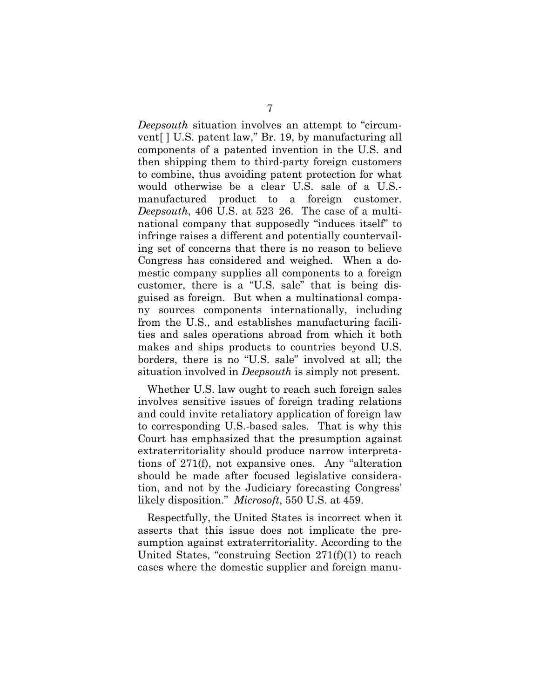*Deepsouth* situation involves an attempt to "circumvent[ ] U.S. patent law," Br. 19, by manufacturing all components of a patented invention in the U.S. and then shipping them to third-party foreign customers to combine, thus avoiding patent protection for what would otherwise be a clear U.S. sale of a U.S. manufactured product to a foreign customer. *Deepsouth*, 406 U.S. at 523–26. The case of a multinational company that supposedly "induces itself" to infringe raises a different and potentially countervailing set of concerns that there is no reason to believe Congress has considered and weighed. When a domestic company supplies all components to a foreign customer, there is a "U.S. sale" that is being disguised as foreign. But when a multinational company sources components internationally, including from the U.S., and establishes manufacturing facilities and sales operations abroad from which it both makes and ships products to countries beyond U.S. borders, there is no "U.S. sale" involved at all; the situation involved in *Deepsouth* is simply not present.

Whether U.S. law ought to reach such foreign sales involves sensitive issues of foreign trading relations and could invite retaliatory application of foreign law to corresponding U.S.-based sales. That is why this Court has emphasized that the presumption against extraterritoriality should produce narrow interpretations of 271(f), not expansive ones. Any "alteration should be made after focused legislative consideration, and not by the Judiciary forecasting Congress' likely disposition." *Microsoft*, 550 U.S. at 459.

Respectfully, the United States is incorrect when it asserts that this issue does not implicate the presumption against extraterritoriality. According to the United States, "construing Section 271(f)(1) to reach cases where the domestic supplier and foreign manu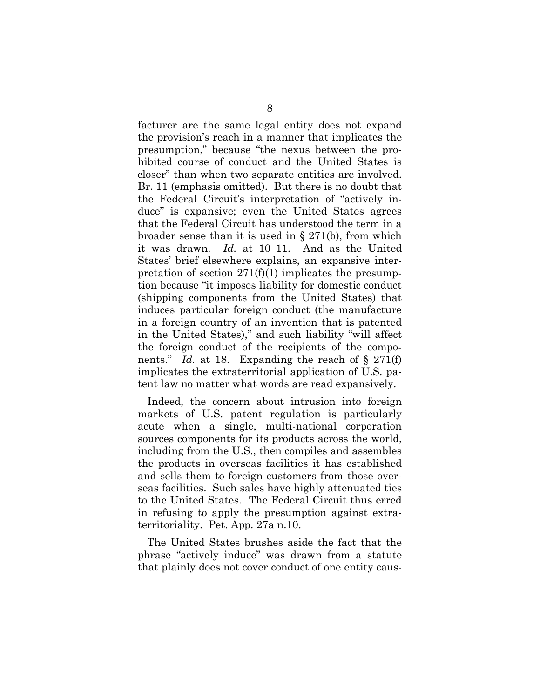facturer are the same legal entity does not expand the provision's reach in a manner that implicates the presumption," because "the nexus between the prohibited course of conduct and the United States is closer" than when two separate entities are involved. Br. 11 (emphasis omitted). But there is no doubt that the Federal Circuit's interpretation of "actively induce" is expansive; even the United States agrees that the Federal Circuit has understood the term in a broader sense than it is used in § 271(b), from which it was drawn. *Id.* at 10–11. And as the United States' brief elsewhere explains, an expansive interpretation of section  $271(f)(1)$  implicates the presumption because "it imposes liability for domestic conduct (shipping components from the United States) that induces particular foreign conduct (the manufacture in a foreign country of an invention that is patented in the United States)," and such liability "will affect the foreign conduct of the recipients of the components." *Id.* at 18. Expanding the reach of § 271(f) implicates the extraterritorial application of U.S. patent law no matter what words are read expansively.

Indeed, the concern about intrusion into foreign markets of U.S. patent regulation is particularly acute when a single, multi-national corporation sources components for its products across the world, including from the U.S., then compiles and assembles the products in overseas facilities it has established and sells them to foreign customers from those overseas facilities. Such sales have highly attenuated ties to the United States. The Federal Circuit thus erred in refusing to apply the presumption against extraterritoriality. Pet. App. 27a n.10.

The United States brushes aside the fact that the phrase "actively induce" was drawn from a statute that plainly does not cover conduct of one entity caus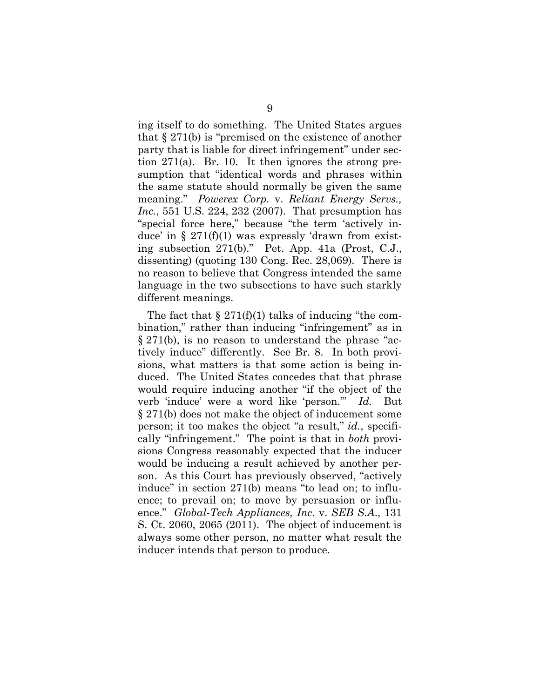ing itself to do something. The United States argues that § 271(b) is "premised on the existence of another party that is liable for direct infringement" under section 271(a). Br. 10. It then ignores the strong presumption that "identical words and phrases within the same statute should normally be given the same meaning." *Powerex Corp.* v. *Reliant Energy Servs., Inc.*, 551 U.S. 224, 232 (2007). That presumption has "special force here," because "the term 'actively induce' in  $\S 271(f)(1)$  was expressly 'drawn from existing subsection 271(b)." Pet. App. 41a (Prost, C.J., dissenting) (quoting 130 Cong. Rec. 28,069). There is no reason to believe that Congress intended the same language in the two subsections to have such starkly different meanings.

The fact that  $\S 271(f)(1)$  talks of inducing "the combination," rather than inducing "infringement" as in § 271(b), is no reason to understand the phrase "actively induce" differently. See Br. 8. In both provisions, what matters is that some action is being induced. The United States concedes that that phrase would require inducing another "if the object of the verb 'induce' were a word like 'person.'" *Id.* But § 271(b) does not make the object of inducement some person; it too makes the object "a result," *id.*, specifically "infringement." The point is that in *both* provisions Congress reasonably expected that the inducer would be inducing a result achieved by another person. As this Court has previously observed, "actively induce" in section 271(b) means "to lead on; to influence; to prevail on; to move by persuasion or influence." *Global-Tech Appliances, Inc*. v. *SEB S.A*., 131 S. Ct. 2060, 2065 (2011). The object of inducement is always some other person, no matter what result the inducer intends that person to produce.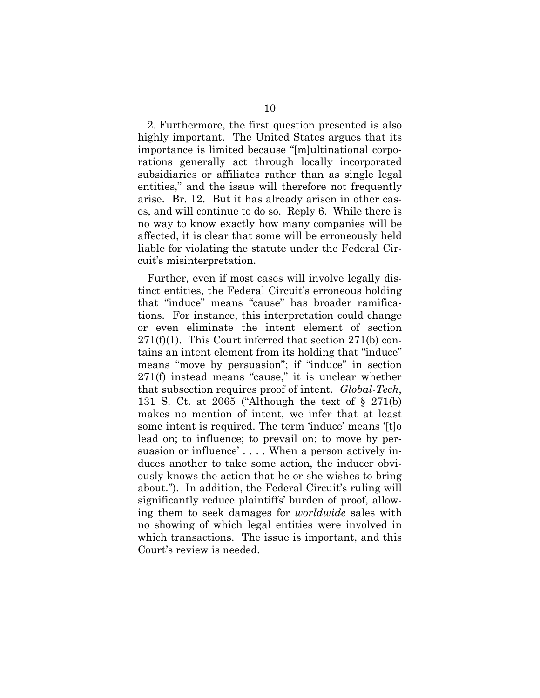2. Furthermore, the first question presented is also highly important. The United States argues that its importance is limited because "[m]ultinational corporations generally act through locally incorporated subsidiaries or affiliates rather than as single legal entities," and the issue will therefore not frequently arise. Br. 12. But it has already arisen in other cases, and will continue to do so. Reply 6. While there is no way to know exactly how many companies will be affected, it is clear that some will be erroneously held liable for violating the statute under the Federal Circuit's misinterpretation.

Further, even if most cases will involve legally distinct entities, the Federal Circuit's erroneous holding that "induce" means "cause" has broader ramifications. For instance, this interpretation could change or even eliminate the intent element of section  $271(f)(1)$ . This Court inferred that section  $271(b)$  contains an intent element from its holding that "induce" means "move by persuasion"; if "induce" in section 271(f) instead means "cause," it is unclear whether that subsection requires proof of intent. *Global-Tech*, 131 S. Ct. at 2065 ("Although the text of § 271(b) makes no mention of intent, we infer that at least some intent is required. The term 'induce' means '[t]o lead on; to influence; to prevail on; to move by persuasion or influence' . . . . When a person actively induces another to take some action, the inducer obviously knows the action that he or she wishes to bring about."). In addition, the Federal Circuit's ruling will significantly reduce plaintiffs' burden of proof, allowing them to seek damages for *worldwide* sales with no showing of which legal entities were involved in which transactions. The issue is important, and this Court's review is needed.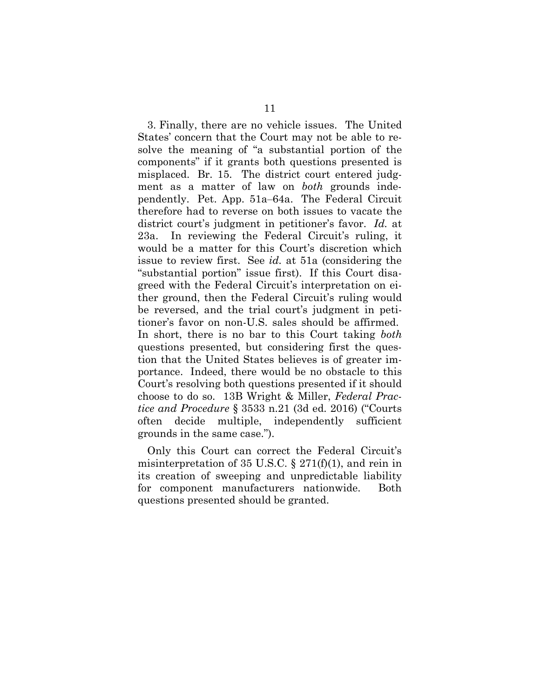3. Finally, there are no vehicle issues. The United States' concern that the Court may not be able to resolve the meaning of "a substantial portion of the components" if it grants both questions presented is misplaced. Br. 15. The district court entered judgment as a matter of law on *both* grounds independently. Pet. App. 51a–64a. The Federal Circuit therefore had to reverse on both issues to vacate the district court's judgment in petitioner's favor. *Id.* at 23a. In reviewing the Federal Circuit's ruling, it would be a matter for this Court's discretion which issue to review first. See *id.* at 51a (considering the "substantial portion" issue first). If this Court disagreed with the Federal Circuit's interpretation on either ground, then the Federal Circuit's ruling would be reversed, and the trial court's judgment in petitioner's favor on non-U.S. sales should be affirmed. In short, there is no bar to this Court taking *both*  questions presented, but considering first the question that the United States believes is of greater importance. Indeed, there would be no obstacle to this Court's resolving both questions presented if it should choose to do so. 13B Wright & Miller, *Federal Practice and Procedure* § 3533 n.21 (3d ed. 2016) ("Courts often decide multiple, independently sufficient grounds in the same case.").

Only this Court can correct the Federal Circuit's misinterpretation of 35 U.S.C.  $\S 271(f)(1)$ , and rein in its creation of sweeping and unpredictable liability for component manufacturers nationwide. Both questions presented should be granted.